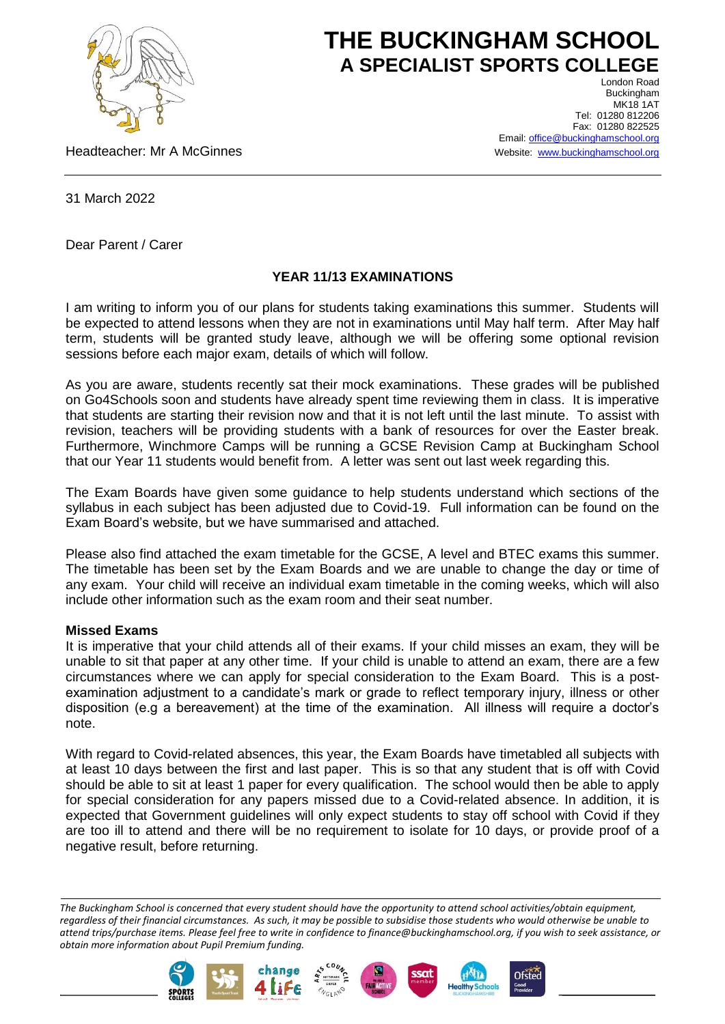

# **THE BUCKINGHAM SCHOOL A SPECIALIST SPORTS COLLEGE** London Road

Headteacher: Mr A McGinnes

Buckingham **MK18 1AT** Tel: 01280 812206 Fax: 01280 822525 Email[: office@buckinghamschool.org](mailto:office@buckinghamschool.org) Website: [www.buckinghamschool.org](http://www.buckinghamschool.org/)

31 March 2022

Dear Parent / Carer

## **YEAR 11/13 EXAMINATIONS**

I am writing to inform you of our plans for students taking examinations this summer. Students will be expected to attend lessons when they are not in examinations until May half term. After May half term, students will be granted study leave, although we will be offering some optional revision sessions before each major exam, details of which will follow.

As you are aware, students recently sat their mock examinations. These grades will be published on Go4Schools soon and students have already spent time reviewing them in class. It is imperative that students are starting their revision now and that it is not left until the last minute. To assist with revision, teachers will be providing students with a bank of resources for over the Easter break. Furthermore, Winchmore Camps will be running a GCSE Revision Camp at Buckingham School that our Year 11 students would benefit from. A letter was sent out last week regarding this.

The Exam Boards have given some guidance to help students understand which sections of the syllabus in each subject has been adjusted due to Covid-19. Full information can be found on the Exam Board's website, but we have summarised and attached.

Please also find attached the exam timetable for the GCSE, A level and BTEC exams this summer. The timetable has been set by the Exam Boards and we are unable to change the day or time of any exam. Your child will receive an individual exam timetable in the coming weeks, which will also include other information such as the exam room and their seat number.

## **Missed Exams**

It is imperative that your child attends all of their exams. If your child misses an exam, they will be unable to sit that paper at any other time. If your child is unable to attend an exam, there are a few circumstances where we can apply for special consideration to the Exam Board. This is a postexamination adjustment to a candidate's mark or grade to reflect temporary injury, illness or other disposition (e.g a bereavement) at the time of the examination. All illness will require a doctor's note.

With regard to Covid-related absences, this year, the Exam Boards have timetabled all subjects with at least 10 days between the first and last paper. This is so that any student that is off with Covid should be able to sit at least 1 paper for every qualification. The school would then be able to apply for special consideration for any papers missed due to a Covid-related absence. In addition, it is expected that Government guidelines will only expect students to stay off school with Covid if they are too ill to attend and there will be no requirement to isolate for 10 days, or provide proof of a negative result, before returning.

*The Buckingham School is concerned that every student should have the opportunity to attend school activities/obtain equipment, regardless of their financial circumstances. As such, it may be possible to subsidise those students who would otherwise be unable to attend trips/purchase items. Please feel free to write in confidence to finance@buckinghamschool.org, if you wish to seek assistance, or obtain more information about Pupil Premium funding.*